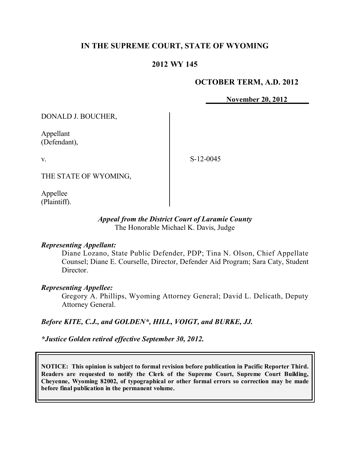# **IN THE SUPREME COURT, STATE OF WYOMING**

## **2012 WY 145**

## **OCTOBER TERM, A.D. 2012**

**November 20, 2012**

DONALD J. BOUCHER,

Appellant (Defendant),

v.

S-12-0045

THE STATE OF WYOMING,

Appellee (Plaintiff).

### *Appeal from the District Court of Laramie County* The Honorable Michael K. Davis, Judge

#### *Representing Appellant:*

Diane Lozano, State Public Defender, PDP; Tina N. Olson, Chief Appellate Counsel; Diane E. Courselle, Director, Defender Aid Program; Sara Caty, Student Director.

#### *Representing Appellee:*

Gregory A. Phillips, Wyoming Attorney General; David L. Delicath, Deputy Attorney General.

#### *Before KITE, C.J., and GOLDEN\*, HILL, VOIGT, and BURKE, JJ.*

*\*Justice Golden retired effective September 30, 2012.*

**NOTICE: This opinion is subject to formal revision before publication in Pacific Reporter Third. Readers are requested to notify the Clerk of the Supreme Court, Supreme Court Building, Cheyenne, Wyoming 82002, of typographical or other formal errors so correction may be made before final publication in the permanent volume.**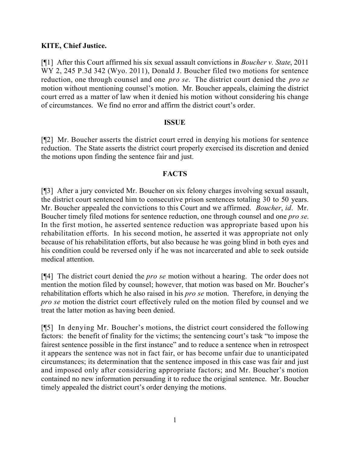# **KITE, Chief Justice.**

[¶1] After this Court affirmed his six sexual assault convictions in *Boucher v. State*, 2011 WY 2, 245 P.3d 342 (Wyo. 2011), Donald J. Boucher filed two motions for sentence reduction, one through counsel and one *pro se*. The district court denied the *pro se* motion without mentioning counsel's motion. Mr. Boucher appeals, claiming the district court erred as a matter of law when it denied his motion without considering his change of circumstances. We find no error and affirm the district court's order.

## **ISSUE**

[¶2] Mr. Boucher asserts the district court erred in denying his motions for sentence reduction. The State asserts the district court properly exercised its discretion and denied the motions upon finding the sentence fair and just.

## **FACTS**

[¶3] After a jury convicted Mr. Boucher on six felony charges involving sexual assault, the district court sentenced him to consecutive prison sentences totaling 30 to 50 years. Mr. Boucher appealed the convictions to this Court and we affirmed. *Boucher*, *id*. Mr. Boucher timely filed motions for sentence reduction, one through counsel and one *pro se*. In the first motion, he asserted sentence reduction was appropriate based upon his rehabilitation efforts. In his second motion, he asserted it was appropriate not only because of his rehabilitation efforts, but also because he was going blind in both eyes and his condition could be reversed only if he was not incarcerated and able to seek outside medical attention.

[¶4] The district court denied the *pro se* motion without a hearing. The order does not mention the motion filed by counsel; however, that motion was based on Mr. Boucher's rehabilitation efforts which he also raised in his *pro se* motion. Therefore, in denying the *pro se* motion the district court effectively ruled on the motion filed by counsel and we treat the latter motion as having been denied.

[¶5] In denying Mr. Boucher's motions, the district court considered the following factors: the benefit of finality for the victims; the sentencing court's task "to impose the fairest sentence possible in the first instance" and to reduce a sentence when in retrospect it appears the sentence was not in fact fair, or has become unfair due to unanticipated circumstances; its determination that the sentence imposed in this case was fair and just and imposed only after considering appropriate factors; and Mr. Boucher's motion contained no new information persuading it to reduce the original sentence. Mr. Boucher timely appealed the district court's order denying the motions.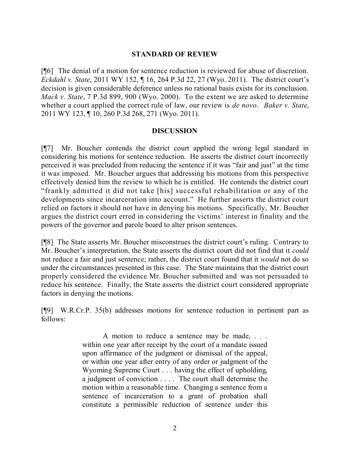#### **STANDARD OF REVIEW**

[¶6] The denial of a motion for sentence reduction is reviewed for abuse of discretion. *Eckdahl v. State*, 2011 WY 152, ¶ 16, 264 P.3d 22, 27 (Wyo. 2011). The district court's decision is given considerable deference unless no rational basis exists for its conclusion. *Mack v. State*, 7 P.3d 899, 900 (Wyo. 2000). To the extent we are asked to determine whether a court applied the correct rule of law, our review is *de novo*. *Baker v. State*, 2011 WY 123, ¶ 10, 260 P.3d 268, 271 (Wyo. 2011).

#### **DISCUSSION**

[¶7] Mr. Boucher contends the district court applied the wrong legal standard in considering his motions for sentence reduction. He asserts the district court incorrectly perceived it was precluded from reducing the sentence if it was "fair and just" at the time it was imposed. Mr. Boucher argues that addressing his motions from this perspective effectively denied him the review to which he is entitled. He contends the district court "frankly admitted it did not take [his] successful rehabilitation or any of the developments since incarceration into account." He further asserts the district court relied on factors it should not have in denying his motions. Specifically, Mr. Boucher argues the district court erred in considering the victims' interest in finality and the powers of the governor and parole board to alter prison sentences.

[¶8] The State asserts Mr. Boucher misconstrues the district court's ruling. Contrary to Mr. Boucher's interpretation, the State asserts the district court did not find that it *could* not reduce a fair and just sentence; rather, the district court found that it *would* not do so under the circumstances presented in this case. The State maintains that the district court properly considered the evidence Mr. Boucher submitted and was not persuaded to reduce his sentence. Finally, the State asserts the district court considered appropriate factors in denying the motions.

[¶9] W.R.Cr.P. 35(b) addresses motions for sentence reduction in pertinent part as follows:

> A motion to reduce a sentence may be made, . . . within one year after receipt by the court of a mandate issued upon affirmance of the judgment or dismissal of the appeal, or within one year after entry of any order or judgment of the Wyoming Supreme Court . . . having the effect of upholding, a judgment of conviction . . . . The court shall determine the motion within a reasonable time. Changing a sentence from a sentence of incarceration to a grant of probation shall constitute a permissible reduction of sentence under this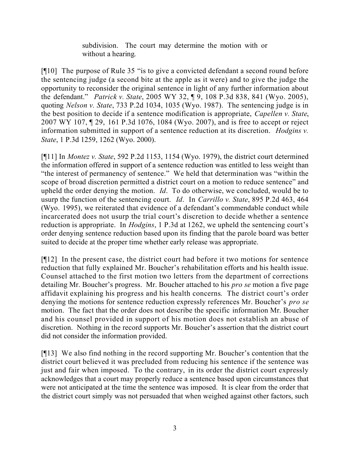subdivision. The court may determine the motion with or without a hearing.

[¶10] The purpose of Rule 35 "is to give a convicted defendant a second round before the sentencing judge (a second bite at the apple as it were) and to give the judge the opportunity to reconsider the original sentence in light of any further information about the defendant." *Patrick v. State*, 2005 WY 32, ¶ 9, 108 P.3d 838, 841 (Wyo. 2005), quoting *Nelson v. State*, 733 P.2d 1034, 1035 (Wyo. 1987). The sentencing judge is in the best position to decide if a sentence modification is appropriate, *Capellen v. State*, 2007 WY 107, ¶ 29, 161 P.3d 1076, 1084 (Wyo. 2007), and is free to accept or reject information submitted in support of a sentence reduction at its discretion. *Hodgins v. State*, 1 P.3d 1259, 1262 (Wyo. 2000).

[¶11] In *Montez v. State*, 592 P.2d 1153, 1154 (Wyo. 1979), the district court determined the information offered in support of a sentence reduction was entitled to less weight than "the interest of permanency of sentence." We held that determination was "within the scope of broad discretion permitted a district court on a motion to reduce sentence" and upheld the order denying the motion. *Id*. To do otherwise, we concluded, would be to usurp the function of the sentencing court. *Id*. In *Carrillo v. State*, 895 P.2d 463, 464 (Wyo. 1995), we reiterated that evidence of a defendant's commendable conduct while incarcerated does not usurp the trial court's discretion to decide whether a sentence reduction is appropriate. In *Hodgins*, 1 P.3d at 1262, we upheld the sentencing court's order denying sentence reduction based upon its finding that the parole board was better suited to decide at the proper time whether early release was appropriate.

[¶12] In the present case, the district court had before it two motions for sentence reduction that fully explained Mr. Boucher's rehabilitation efforts and his health issue. Counsel attached to the first motion two letters from the department of corrections detailing Mr. Boucher's progress. Mr. Boucher attached to his *pro se* motion a five page affidavit explaining his progress and his health concerns. The district court's order denying the motions for sentence reduction expressly references Mr. Boucher's *pro se* motion. The fact that the order does not describe the specific information Mr. Boucher and his counsel provided in support of his motion does not establish an abuse of discretion. Nothing in the record supports Mr. Boucher's assertion that the district court did not consider the information provided.

[¶13] We also find nothing in the record supporting Mr. Boucher's contention that the district court believed it was precluded from reducing his sentence if the sentence was just and fair when imposed. To the contrary, in its order the district court expressly acknowledges that a court may properly reduce a sentence based upon circumstances that were not anticipated at the time the sentence was imposed. It is clear from the order that the district court simply was not persuaded that when weighed against other factors, such